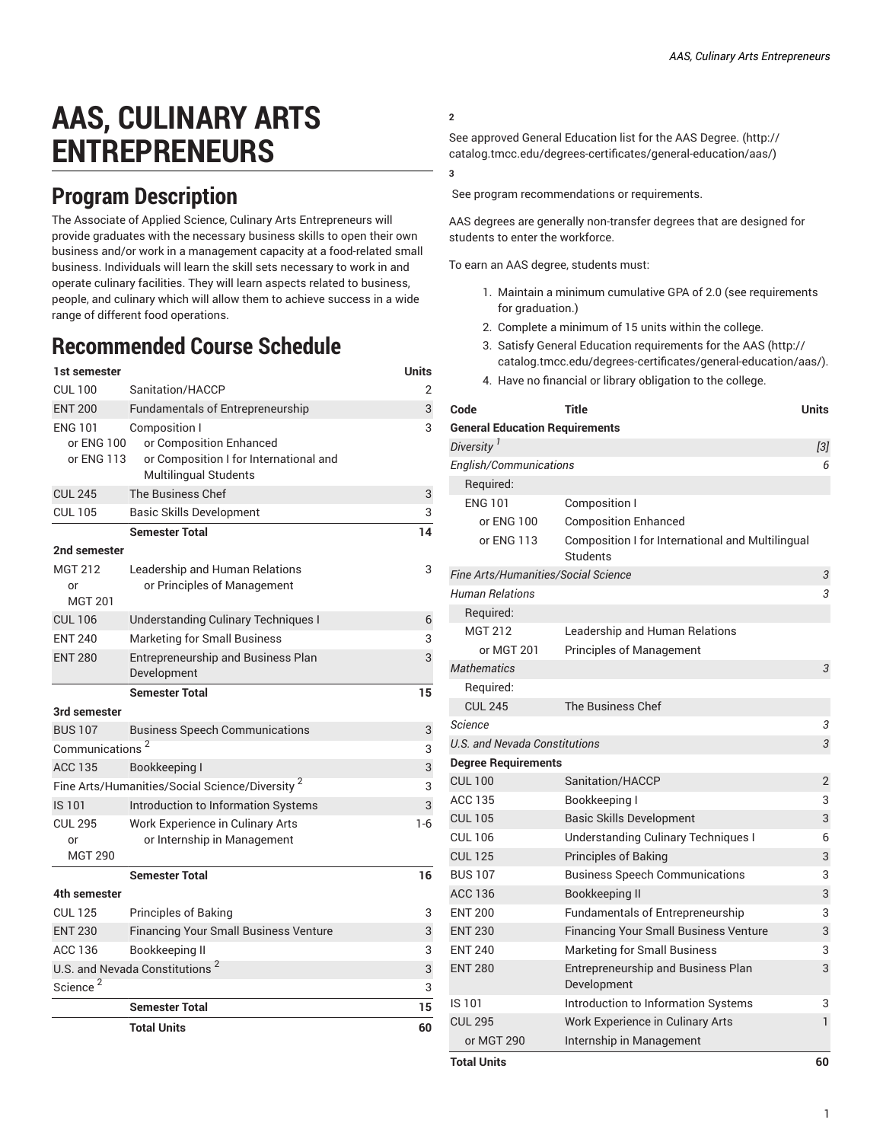# **AAS, CULINARY ARTS ENTREPRENEURS**

### **Program Description**

The Associate of Applied Science, Culinary Arts Entrepreneurs will provide graduates with the necessary business skills to open their own business and/or work in a management capacity at a food-related small business. Individuals will learn the skill sets necessary to work in and operate culinary facilities. They will learn aspects related to business, people, and culinary which will allow them to achieve success in a wide range of different food operations.

## **Recommended Course Schedule**

| 1st semester                                               |                                                                                                                    | Units   |
|------------------------------------------------------------|--------------------------------------------------------------------------------------------------------------------|---------|
| <b>CUL 100</b>                                             | Sanitation/HACCP                                                                                                   | 2       |
| <b>ENT 200</b>                                             | <b>Fundamentals of Entrepreneurship</b>                                                                            | 3       |
| <b>ENG 101</b><br>or ENG 100<br>or ENG 113                 | <b>Composition I</b><br>or Composition Enhanced<br>or Composition I for International and<br>Multilingual Students | 3       |
| <b>CUL 245</b>                                             | <b>The Business Chef</b>                                                                                           | 3       |
| <b>CUL 105</b>                                             | <b>Basic Skills Development</b>                                                                                    | 3       |
| 2nd semester<br>MGT 212<br>or<br><b>MGT 201</b>            | <b>Semester Total</b><br>Leadership and Human Relations<br>or Principles of Management                             | 14<br>3 |
| <b>CUL 106</b>                                             | <b>Understanding Culinary Techniques I</b>                                                                         | 6       |
| <b>ENT 240</b>                                             | <b>Marketing for Small Business</b>                                                                                | 3       |
| <b>ENT 280</b>                                             | Entrepreneurship and Business Plan<br>Development                                                                  | 3       |
|                                                            | <b>Semester Total</b>                                                                                              | 15      |
| 3rd semester                                               |                                                                                                                    |         |
| <b>BUS 107</b>                                             | <b>Business Speech Communications</b>                                                                              | 3       |
| Communications <sup>2</sup>                                |                                                                                                                    | 3       |
| <b>ACC 135</b>                                             | Bookkeeping I                                                                                                      | 3       |
| Fine Arts/Humanities/Social Science/Diversity <sup>2</sup> |                                                                                                                    | 3       |
| IS 101                                                     | Introduction to Information Systems                                                                                | 3       |
| <b>CUL 295</b><br>or<br><b>MGT 290</b>                     | Work Experience in Culinary Arts<br>or Internship in Management                                                    | $1-6$   |
|                                                            | <b>Semester Total</b>                                                                                              | 16      |
| 4th semester                                               |                                                                                                                    |         |
| <b>CUL 125</b>                                             | Principles of Baking                                                                                               | 3       |
| <b>FNT 230</b>                                             | <b>Financing Your Small Business Venture</b>                                                                       | 3       |
| <b>ACC 136</b>                                             | Bookkeeping II                                                                                                     | 3       |
| U.S. and Nevada Constitutions <sup>2</sup>                 |                                                                                                                    | 3       |
| Science <sup>2</sup>                                       |                                                                                                                    | 3       |
|                                                            | <b>Semester Total</b>                                                                                              | 15      |
|                                                            | <b>Total Units</b>                                                                                                 | 60      |

### **2**

See approved General [Education](http://catalog.tmcc.edu/degrees-certificates/general-education/aas/) list for the AAS Degree. ([http://](http://catalog.tmcc.edu/degrees-certificates/general-education/aas/) [catalog.tmcc.edu/degrees-certificates/general-education/aas/](http://catalog.tmcc.edu/degrees-certificates/general-education/aas/))

**3**

See program recommendations or requirements.

AAS degrees are generally non-transfer degrees that are designed for students to enter the workforce.

To earn an AAS degree, students must:

- 1. Maintain a minimum cumulative GPA of 2.0 (see requirements for graduation.)
- 2. Complete a minimum of 15 units within the college.
- 3. Satisfy General Education [requirements](http://catalog.tmcc.edu/degrees-certificates/general-education/aas/) for the AAS [\(http://](http://catalog.tmcc.edu/degrees-certificates/general-education/aas/) [catalog.tmcc.edu/degrees-certificates/general-education/aas/](http://catalog.tmcc.edu/degrees-certificates/general-education/aas/)).
- 4. Have no financial or library obligation to the college.

| Code                                  | Title                                                        | Units          |
|---------------------------------------|--------------------------------------------------------------|----------------|
| <b>General Education Requirements</b> |                                                              |                |
| Diversity <sup>1</sup>                |                                                              | $[3]$          |
| English/Communications                |                                                              | 6              |
| Required:                             |                                                              |                |
| <b>ENG 101</b>                        | Composition I                                                |                |
| or ENG 100                            | <b>Composition Enhanced</b>                                  |                |
| or ENG 113                            | Composition I for International and Multilingual<br>Students |                |
| Fine Arts/Humanities/Social Science   |                                                              | 3              |
| <b>Human Relations</b>                |                                                              | 3              |
| Required:                             |                                                              |                |
| <b>MGT 212</b>                        | Leadership and Human Relations                               |                |
| or MGT 201                            | <b>Principles of Management</b>                              |                |
| <b>Mathematics</b>                    |                                                              | $\sqrt{3}$     |
| Required:                             |                                                              |                |
| <b>CUL 245</b>                        | The Business Chef                                            |                |
| <b>Science</b>                        |                                                              | $\sqrt{3}$     |
| U.S. and Nevada Constitutions         |                                                              | 3              |
| <b>Degree Requirements</b>            |                                                              |                |
| <b>CUL 100</b>                        | Sanitation/HACCP                                             | $\overline{2}$ |
| <b>ACC 135</b>                        | Bookkeeping I                                                | 3              |
| <b>CUL 105</b>                        | <b>Basic Skills Development</b>                              | 3              |
| <b>CUL 106</b>                        | <b>Understanding Culinary Techniques I</b>                   | 6              |
| <b>CUL 125</b>                        | <b>Principles of Baking</b>                                  | 3              |
| <b>BUS 107</b>                        | <b>Business Speech Communications</b>                        | 3              |
| <b>ACC 136</b>                        | Bookkeeping II                                               | 3              |
| <b>ENT 200</b>                        | <b>Fundamentals of Entrepreneurship</b>                      | 3              |
| <b>ENT 230</b>                        | <b>Financing Your Small Business Venture</b>                 | 3              |
| <b>ENT 240</b>                        | <b>Marketing for Small Business</b>                          | 3              |
| <b>ENT 280</b>                        | Entrepreneurship and Business Plan<br>Development            | 3              |
| IS 101                                | Introduction to Information Systems                          | 3              |
| <b>CUL 295</b>                        | Work Experience in Culinary Arts                             | $\mathbf{1}$   |
| or MGT 290                            | Internship in Management                                     |                |
| <b>Total Units</b>                    |                                                              | 60             |